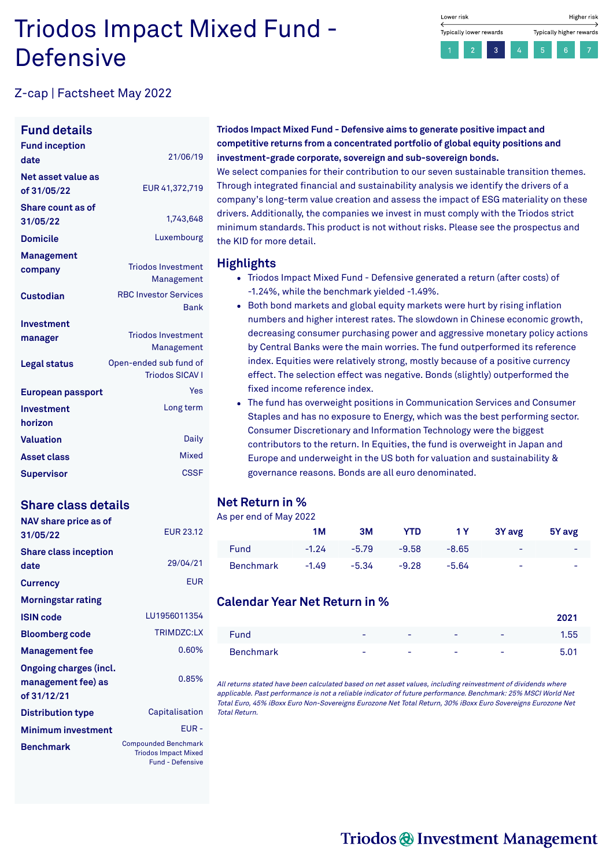## Triodos Impact Mixed Fund - **Defensive**



## Z-cap | Factsheet May 2022

#### **Fund details**

| <b>Fund inception</b><br>date        | 21/06/19                                         |
|--------------------------------------|--------------------------------------------------|
| Net asset value as<br>of 31/05/22    | EUR 41,372,719                                   |
| <b>Share count as of</b><br>31/05/22 | 1,743,648                                        |
| <b>Domicile</b>                      | Luxembourg                                       |
| Management<br>company                | <b>Triodos Investment</b><br>Management          |
| Custodian                            | <b>RBC Investor Services</b><br>Bank             |
| Investment                           |                                                  |
| manager                              | <b>Triodos Investment</b><br>Management          |
| Legal status                         | Open-ended sub fund of<br><b>Triodos SICAV I</b> |
| European passport                    | Yes                                              |
| Investment<br>horizon                | Long term                                        |
| <b>Valuation</b>                     | Daily                                            |
| <b>Asset class</b>                   | Mixed                                            |
| Supervisor                           | <b>CSSF</b>                                      |

## **Share class details**

| NAV share price as of<br>31/05/22                                  | <b>EUR 23.12</b>                                                                      |
|--------------------------------------------------------------------|---------------------------------------------------------------------------------------|
| <b>Share class inception</b><br>date                               | 29/04/21                                                                              |
| <b>Currency</b>                                                    | <b>EUR</b>                                                                            |
| <b>Morningstar rating</b>                                          |                                                                                       |
| <b>ISIN code</b>                                                   | LU1956011354                                                                          |
| <b>Bloomberg code</b>                                              | <b>TRIMDZC:LX</b>                                                                     |
| <b>Management fee</b>                                              | 0.60%                                                                                 |
| <b>Ongoing charges (incl.</b><br>management fee) as<br>of 31/12/21 | 0.85%                                                                                 |
| <b>Distribution type</b>                                           | Capitalisation                                                                        |
| <b>Minimum investment</b>                                          | EUR-                                                                                  |
| <b>Benchmark</b>                                                   | <b>Compounded Benchmark</b><br><b>Triodos Impact Mixed</b><br><b>Fund - Defensive</b> |

**Triodos Impact Mixed Fund - Defensive aims to generate positive impact and competitive returns from a concentrated portfolio of global equity positions and investment-grade corporate, sovereign and sub-sovereign bonds.**

We select companies for their contribution to our seven sustainable transition themes. Through integrated financial and sustainability analysis we identify the drivers of a company's long-term value creation and assess the impact of ESG materiality on these drivers. Additionally, the companies we invest in must comply with the Triodos strict minimum standards. This product is not without risks. Please see the prospectus and the KID for more detail.

#### **Highlights**

- Triodos Impact Mixed Fund Defensive generated a return (after costs) of -1.24%, while the benchmark yielded -1.49%.
- Both bond markets and global equity markets were hurt by rising inflation numbers and higher interest rates. The slowdown in Chinese economic growth, decreasing consumer purchasing power and aggressive monetary policy actions by Central Banks were the main worries. The fund outperformed its reference index. Equities were relatively strong, mostly because of a positive currency effect. The selection effect was negative. Bonds (slightly) outperformed the fixed income reference index.
- The fund has overweight positions in Communication Services and Consumer Staples and has no exposure to Energy, which was the best performing sector. Consumer Discretionary and Information Technology were the biggest contributors to the return. In Equities, the fund is overweight in Japan and Europe and underweight in the US both for valuation and sustainability & governance reasons. Bonds are all euro denominated.

## **Net Return in %**

#### As per end of May 2022

|             | 1M      | 3M      | <b>YTD</b> |         | 1Y 3Yavg                 | 5Y avg |
|-------------|---------|---------|------------|---------|--------------------------|--------|
| <b>Fund</b> | $-1.24$ | $-5.79$ | $-9.58$    | $-8.65$ | $\overline{\phantom{0}}$ | -      |
| Benchmark   | $-1.49$ | $-5.34$ | $-9.28$    | -5.64   | -                        | -      |

## **Calendar Year Net Return in %**

| Fund      | $\overline{\phantom{a}}$ | $\overline{\phantom{a}}$ | $\overline{\phantom{a}}$ | ۰                        | 1.55 |
|-----------|--------------------------|--------------------------|--------------------------|--------------------------|------|
| Benchmark | -                        | $\overline{\phantom{a}}$ | -                        | $\overline{\phantom{a}}$ | 5.01 |

All returns stated have been calculated based on net asset values, including reinvestment of dividends where applicable. Past performance is not <sup>a</sup> reliable indicator of future performance. Benchmark: 25% MSCI World Net Total Euro, 45% iBoxx Euro Non-Sovereigns Eurozone Net Total Return, 30% iBoxx Euro Sovereigns Eurozone Net Total Return.

## Triodos @ Investment Management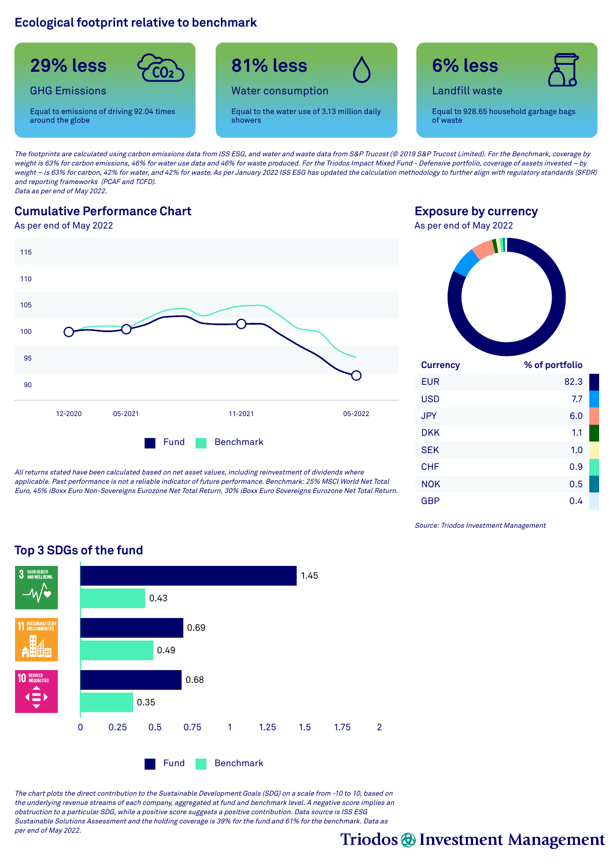## **Ecological footprint relative to benchmark**



The footprints are calculated using carbon emissions data from ISS ESG, and water and waste data from S&P Trucost (© 2019 S&P Trucost Limited). For the Benchmark, coverage by weight is 63% for carbon emissions, 46% for water use data and 46% for waste produced. For the Triodos Impact Mixed Fund - Defensive portfolio, coverage of assets invested – by weight - is 63% for carbon, 42% for water, and 42% for waste. As per January 2022 ISS ESG has updated the calculation methodology to further align with regulatory standards (SFDR) and reporting frameworks (PCAF and TCFD). Data as per end of May 2022.

## **Cumulative Performance Chart**

As per end of May 2022



All returns stated have been calculated based on net asset values, including reinvestment of dividends where applicable. Past performance is not <sup>a</sup> reliable indicator of future performance. Benchmark: 25% MSCI World Net Total Euro, 45% iBoxx Euro Non-Sovereigns Eurozone Net Total Return, 30% iBoxx Euro Sovereigns Eurozone Net Total Return.

**Exposure by currency** As per end of May 2022



| <b>Currency</b> | % of portfolio |  |
|-----------------|----------------|--|
| <b>EUR</b>      | 82.3           |  |
| <b>USD</b>      | 7.7            |  |
| <b>JPY</b>      | 6.0            |  |
| DKK             | 1.1            |  |
| <b>SEK</b>      | 1.0            |  |
| <b>CHF</b>      | 0.9            |  |
| <b>NOK</b>      | 0.5            |  |
| GBP             | 0.4            |  |

Source: Triodos Investment Management



The chart plots the direct contribution to the Sustainable Development Goals (SDG) on <sup>a</sup> scale from -10 to 10, based on the underlying revenue streams of each company, aggregated at fund and benchmark level. A negative score implies an obstruction to <sup>a</sup> particular SDG, while <sup>a</sup> positive score suggests <sup>a</sup> positive contribution. Data source is ISS ESG Sustainable Solutions Assessment and the holding coverage is 39% for the fund and 61% for the benchmark. Data as per end of May 2022.

Triodos @ Investment Management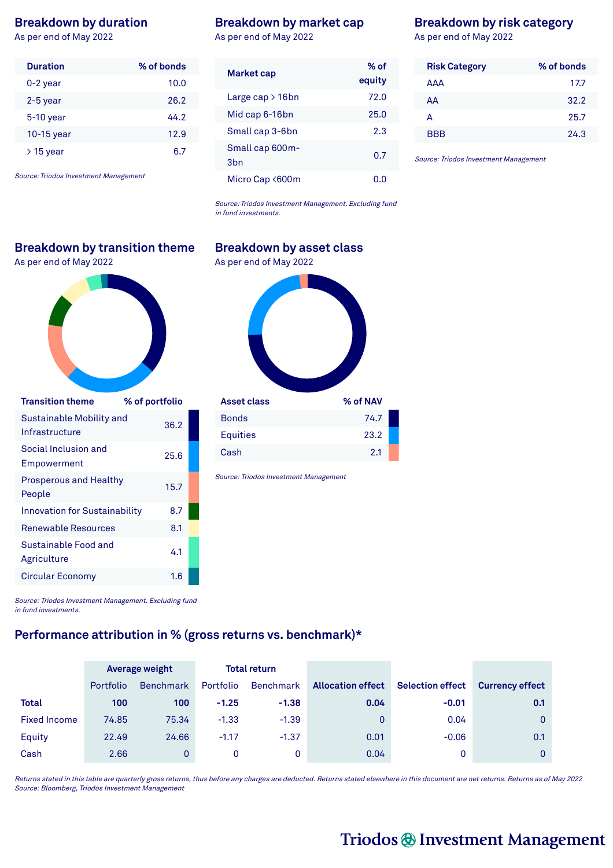#### **Breakdown by duration**

As per end of May 2022

| <b>Duration</b> | % of bonds |
|-----------------|------------|
| $0-2$ year      | 10.0       |
| $2-5$ year      | 26.2       |
| $5-10$ year     | 44.2       |
| 10-15 year      | 12.9       |
| $>$ 15 year     | հ 7        |

Source: Triodos Investment Management

## **Breakdown by transition theme**

As per end of May 2022 As per end of May 2022



| <b>Transition theme</b>                    | % of portfolio |  |
|--------------------------------------------|----------------|--|
| Sustainable Mobility and<br>Infrastructure | 36.2           |  |
| Social Inclusion and<br>Empowerment        | 25.6           |  |
| <b>Prosperous and Healthy</b><br>People    | 15.7           |  |
| <b>Innovation for Sustainability</b>       | 8.7            |  |
| Renewable Resources                        | 8.1            |  |
| Sustainable Food and<br>Agriculture        | 41             |  |
| <b>Circular Economy</b>                    | 1.6            |  |
|                                            |                |  |

#### **Breakdown by market cap**

As per end of May 2022

| <b>Market cap</b>                  | % of<br>equity |
|------------------------------------|----------------|
| Large cap $>16$ bn                 | 72.0           |
| Mid cap 6-16bn                     | 25.0           |
| Small cap 3-6bn                    | 2.3            |
| Small cap 600m-<br>3 <sub>bn</sub> | 0.7            |
| Micro Cap <600m                    |                |

Source: Triodos Investment Management. Excluding fund in fund investments.

# **Asset class % of NAV** Bonds 74.7 Equities 23.2

Source: Triodos Investment Management

Cash 2.1

Source: Triodos Investment Management. Excluding fund in fund investments.

## **Performance attribution in % (gross returns vs. benchmark)\***

|                     |           | <b>Average weight</b> | <b>Total return</b> |           |                          |                         |                        |
|---------------------|-----------|-----------------------|---------------------|-----------|--------------------------|-------------------------|------------------------|
|                     | Portfolio | <b>Benchmark</b>      | Portfolio           | Benchmark | <b>Allocation effect</b> | <b>Selection effect</b> | <b>Currency effect</b> |
| <b>Total</b>        | 100       | 100                   | $-1.25$             | $-1.38$   | 0.04                     | $-0.01$                 | 0.1                    |
| <b>Fixed Income</b> | 74.85     | 75.34                 | $-1.33$             | $-1.39$   | 0                        | 0.04                    | 0                      |
| Equity              | 22.49     | 24.66                 | $-1.17$             | $-1.37$   | 0.01                     | $-0.06$                 | 0.1                    |
| Cash                | 2.66      | 0                     | 0                   | 0         | 0.04                     | 0                       | 0                      |

Returns stated in this table are quarterly gross returns, thus before any charges are deducted. Returns stated elsewhere in this document are net returns. Returns as of May 2022 Source: Bloomberg, Triodos Investment Management

## **Breakdown by risk category**

As per end of May 2022

| <b>Risk Category</b> | % of bonds |
|----------------------|------------|
| AAA                  | 17.7       |
| AA                   | 32.2       |
| А                    | 25.7       |
| <b>BBB</b>           | 24.3       |

Source: Triodos Investment Management

## Triodos @ Investment Management

## **Breakdown by asset class**